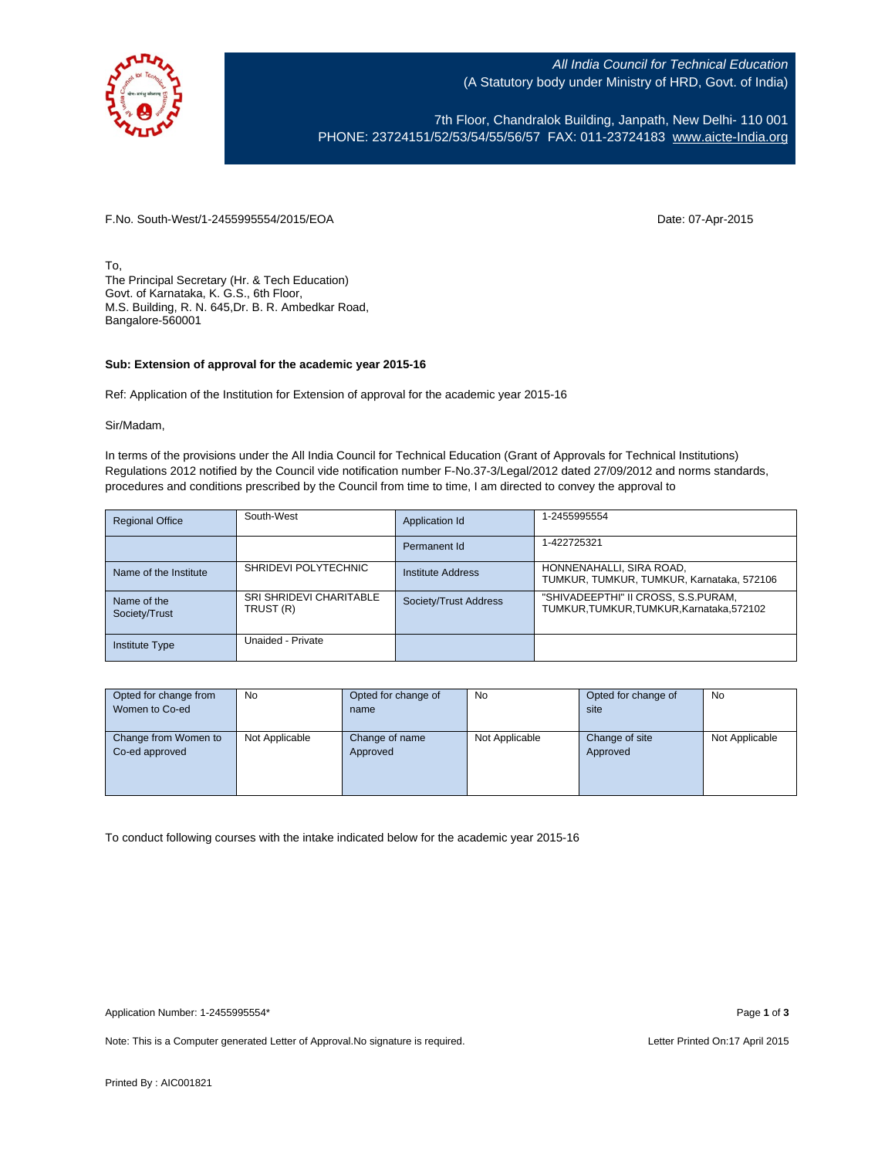

All India Council for Technical Education (A Statutory body under Ministry of HRD, Govt. of India)

7th Floor, Chandralok Building, Janpath, New Delhi- 110 001 PHONE: 23724151/52/53/54/55/56/57 FAX: 011-23724183 [www.aicte-India.org](http://www.aicte-india.org/)

F.No. South-West/1-2455995554/2015/EOA Date: 07-Apr-2015

To, The Principal Secretary (Hr. & Tech Education) Govt. of Karnataka, K. G.S., 6th Floor, M.S. Building, R. N. 645,Dr. B. R. Ambedkar Road, Bangalore-560001

## **Sub: Extension of approval for the academic year 2015-16**

Ref: Application of the Institution for Extension of approval for the academic year 2015-16

Sir/Madam,

In terms of the provisions under the All India Council for Technical Education (Grant of Approvals for Technical Institutions) Regulations 2012 notified by the Council vide notification number F-No.37-3/Legal/2012 dated 27/09/2012 and norms standards, procedures and conditions prescribed by the Council from time to time, I am directed to convey the approval to

| <b>Regional Office</b>       | South-West                                  | Application Id        | 1-2455995554                                                                 |
|------------------------------|---------------------------------------------|-----------------------|------------------------------------------------------------------------------|
|                              |                                             | Permanent Id          | 1-422725321                                                                  |
| Name of the Institute        | SHRIDEVI POLYTECHNIC                        | Institute Address     | HONNENAHALLI, SIRA ROAD,<br>TUMKUR, TUMKUR, TUMKUR, Karnataka, 572106        |
| Name of the<br>Society/Trust | <b>SRI SHRIDEVI CHARITABLE</b><br>TRUST (R) | Society/Trust Address | "SHIVADEEPTHI" II CROSS, S.S.PURAM,<br>TUMKUR.TUMKUR.TUMKUR.Karnataka.572102 |
| <b>Institute Type</b>        | Unaided - Private                           |                       |                                                                              |

| Opted for change from                  | No             | Opted for change of        | No             | Opted for change of        | No             |
|----------------------------------------|----------------|----------------------------|----------------|----------------------------|----------------|
| Women to Co-ed                         |                | name                       |                | site                       |                |
|                                        |                |                            |                |                            |                |
| Change from Women to<br>Co-ed approved | Not Applicable | Change of name<br>Approved | Not Applicable | Change of site<br>Approved | Not Applicable |

To conduct following courses with the intake indicated below for the academic year 2015-16

Note: This is a Computer generated Letter of Approval. No signature is required. Letter Printed On:17 April 2015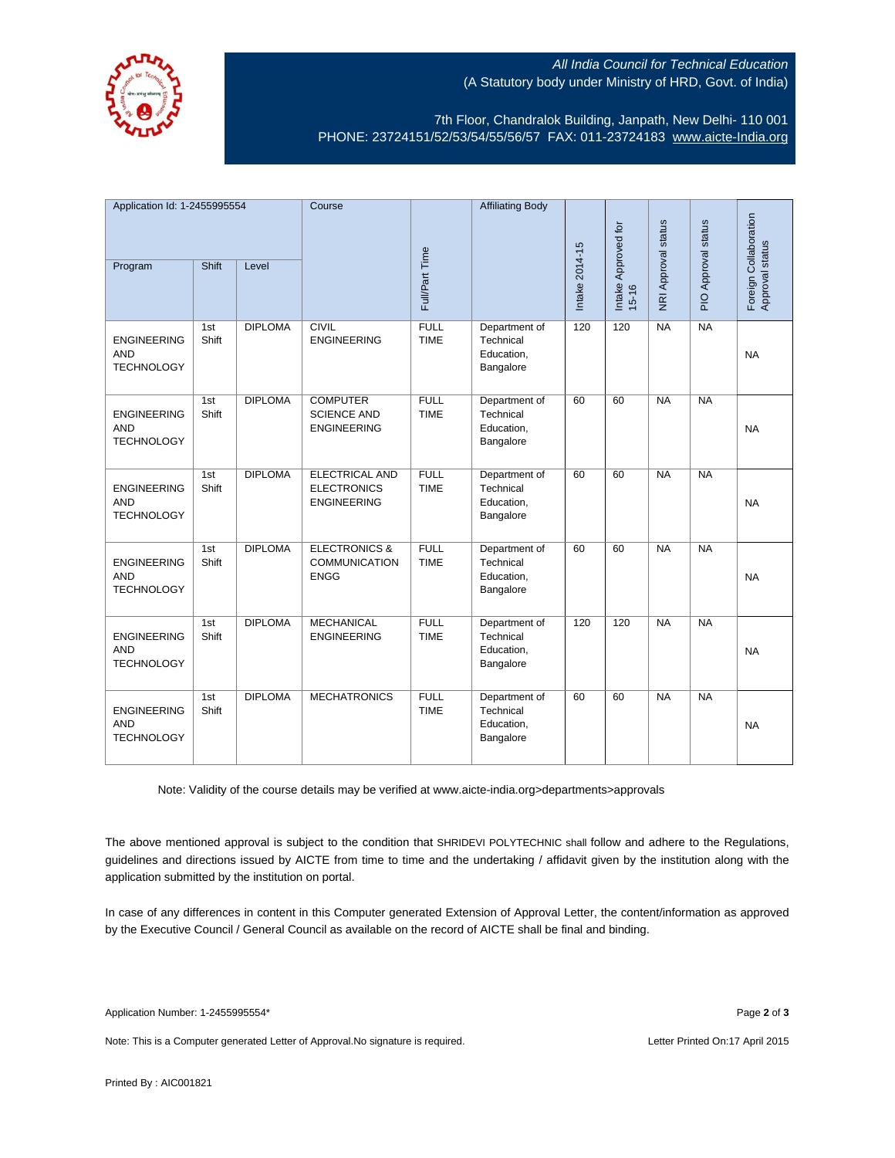

## All India Council for Technical Education (A Statutory body under Ministry of HRD, Govt. of India)

7th Floor, Chandralok Building, Janpath, New Delhi- 110 001 PHONE: 23724151/52/53/54/55/56/57 FAX: 011-23724183 [www.aicte-India.org](http://www.aicte-india.org/)

| Application Id: 1-2455995554                          |              | Course         |                                                                   | <b>Affiliating Body</b>    |                                                       |                |                              | Approval status     |                |                                          |
|-------------------------------------------------------|--------------|----------------|-------------------------------------------------------------------|----------------------------|-------------------------------------------------------|----------------|------------------------------|---------------------|----------------|------------------------------------------|
| Program                                               | <b>Shift</b> | Level          |                                                                   | Full/Part Time             |                                                       | Intake 2014-15 | Intake Approved for<br>15-16 | NRI Approval status | $\overline{P}$ | Foreign Collaboration<br>Approval status |
| <b>ENGINEERING</b><br><b>AND</b><br><b>TECHNOLOGY</b> | 1st<br>Shift | <b>DIPLOMA</b> | <b>CIVIL</b><br><b>ENGINEERING</b>                                | <b>FULL</b><br><b>TIME</b> | Department of<br>Technical<br>Education,<br>Bangalore | 120            | 120                          | NA                  | NA             | <b>NA</b>                                |
| <b>ENGINEERING</b><br><b>AND</b><br><b>TECHNOLOGY</b> | 1st<br>Shift | <b>DIPLOMA</b> | <b>COMPUTER</b><br><b>SCIENCE AND</b><br><b>ENGINEERING</b>       | <b>FULL</b><br><b>TIME</b> | Department of<br>Technical<br>Education,<br>Bangalore | 60             | 60                           | NA                  | NA             | <b>NA</b>                                |
| <b>ENGINEERING</b><br><b>AND</b><br><b>TECHNOLOGY</b> | 1st<br>Shift | <b>DIPLOMA</b> | <b>ELECTRICAL AND</b><br><b>ELECTRONICS</b><br><b>ENGINEERING</b> | <b>FULL</b><br><b>TIME</b> | Department of<br>Technical<br>Education,<br>Bangalore | 60             | 60                           | $\overline{NA}$     | NA             | <b>NA</b>                                |
| <b>ENGINEERING</b><br><b>AND</b><br><b>TECHNOLOGY</b> | 1st<br>Shift | <b>DIPLOMA</b> | <b>ELECTRONICS &amp;</b><br><b>COMMUNICATION</b><br><b>ENGG</b>   | <b>FULL</b><br><b>TIME</b> | Department of<br>Technical<br>Education,<br>Bangalore | 60             | 60                           | NA                  | NA             | <b>NA</b>                                |
| <b>ENGINEERING</b><br><b>AND</b><br><b>TECHNOLOGY</b> | 1st<br>Shift | <b>DIPLOMA</b> | <b>MECHANICAL</b><br><b>ENGINEERING</b>                           | <b>FULL</b><br><b>TIME</b> | Department of<br>Technical<br>Education,<br>Bangalore | 120            | 120                          | <b>NA</b>           | NA             | <b>NA</b>                                |
| <b>ENGINEERING</b><br><b>AND</b><br><b>TECHNOLOGY</b> | 1st<br>Shift | <b>DIPLOMA</b> | <b>MECHATRONICS</b>                                               | <b>FULL</b><br><b>TIME</b> | Department of<br>Technical<br>Education,<br>Bangalore | 60             | 60                           | NA                  | NA             | <b>NA</b>                                |

Note: Validity of the course details may be verified at www.aicte-india.org>departments>approvals

The above mentioned approval is subject to the condition that SHRIDEVI POLYTECHNIC shall follow and adhere to the Regulations, guidelines and directions issued by AICTE from time to time and the undertaking / affidavit given by the institution along with the application submitted by the institution on portal.

In case of any differences in content in this Computer generated Extension of Approval Letter, the content/information as approved by the Executive Council / General Council as available on the record of AICTE shall be final and binding.

Note: This is a Computer generated Letter of Approval. No signature is required. Letter Printed On:17 April 2015